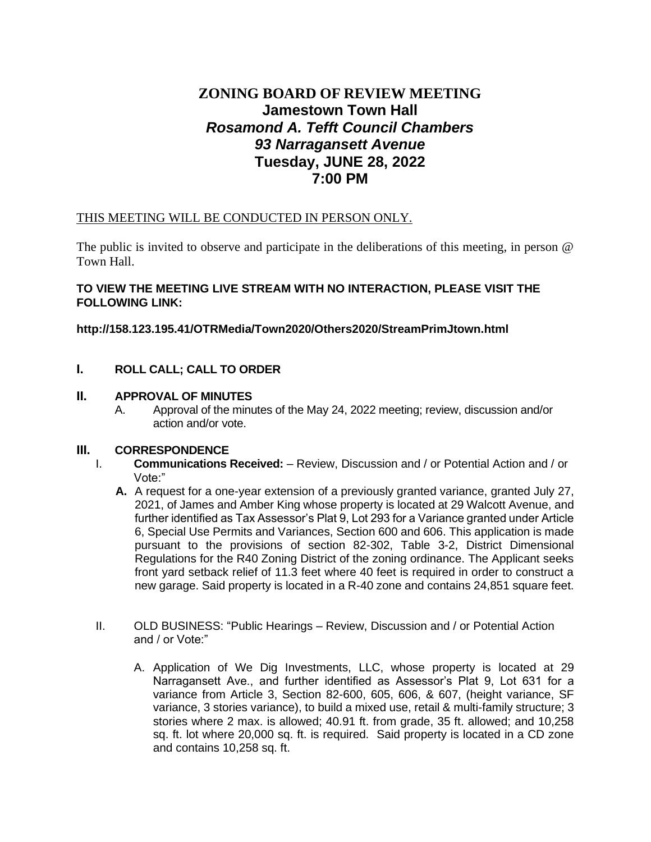# **ZONING BOARD OF REVIEW MEETING Jamestown Town Hall** *Rosamond A. Tefft Council Chambers 93 Narragansett Avenue* **Tuesday, JUNE 28, 2022 7:00 PM**

# THIS MEETING WILL BE CONDUCTED IN PERSON ONLY.

The public is invited to observe and participate in the deliberations of this meeting, in person @ Town Hall.

### **TO VIEW THE MEETING LIVE STREAM WITH NO INTERACTION, PLEASE VISIT THE FOLLOWING LINK:**

# **http://158.123.195.41/OTRMedia/Town2020/Others2020/StreamPrimJtown.html**

**I. ROLL CALL; CALL TO ORDER**

#### **II. APPROVAL OF MINUTES**

A. Approval of the minutes of the May 24, 2022 meeting; review, discussion and/or action and/or vote.

# **III. CORRESPONDENCE**

- I. **Communications Received:** Review, Discussion and / or Potential Action and / or Vote:"
	- **A.** A request for a one-year extension of a previously granted variance, granted July 27, 2021, of James and Amber King whose property is located at 29 Walcott Avenue, and further identified as Tax Assessor's Plat 9, Lot 293 for a Variance granted under Article 6, Special Use Permits and Variances, Section 600 and 606. This application is made pursuant to the provisions of section 82-302, Table 3-2, District Dimensional Regulations for the R40 Zoning District of the zoning ordinance. The Applicant seeks front yard setback relief of 11.3 feet where 40 feet is required in order to construct a new garage. Said property is located in a R-40 zone and contains 24,851 square feet.
- II. OLD BUSINESS: "Public Hearings Review, Discussion and / or Potential Action and / or Vote:"
	- A. Application of We Dig Investments, LLC, whose property is located at 29 Narragansett Ave., and further identified as Assessor's Plat 9, Lot 631 for a variance from Article 3, Section 82-600, 605, 606, & 607, (height variance, SF variance, 3 stories variance), to build a mixed use, retail & multi-family structure; 3 stories where 2 max. is allowed; 40.91 ft. from grade, 35 ft. allowed; and 10,258 sq. ft. lot where 20,000 sq. ft. is required. Said property is located in a CD zone and contains 10,258 sq. ft.